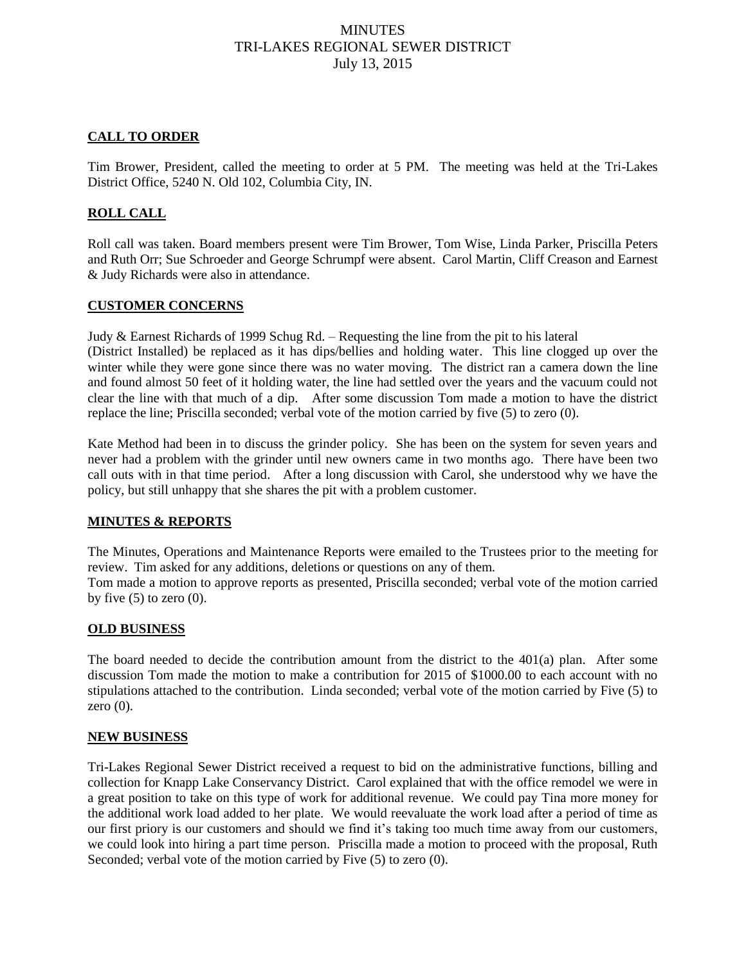# **MINUTES** TRI-LAKES REGIONAL SEWER DISTRICT July 13, 2015

## **CALL TO ORDER**

Tim Brower, President, called the meeting to order at 5 PM. The meeting was held at the Tri-Lakes District Office, 5240 N. Old 102, Columbia City, IN.

## **ROLL CALL**

Roll call was taken. Board members present were Tim Brower, Tom Wise, Linda Parker, Priscilla Peters and Ruth Orr; Sue Schroeder and George Schrumpf were absent. Carol Martin, Cliff Creason and Earnest & Judy Richards were also in attendance.

#### **CUSTOMER CONCERNS**

Judy & Earnest Richards of 1999 Schug Rd. – Requesting the line from the pit to his lateral (District Installed) be replaced as it has dips/bellies and holding water. This line clogged up over the winter while they were gone since there was no water moving. The district ran a camera down the line and found almost 50 feet of it holding water, the line had settled over the years and the vacuum could not clear the line with that much of a dip. After some discussion Tom made a motion to have the district replace the line; Priscilla seconded; verbal vote of the motion carried by five (5) to zero (0).

Kate Method had been in to discuss the grinder policy. She has been on the system for seven years and never had a problem with the grinder until new owners came in two months ago. There have been two call outs with in that time period. After a long discussion with Carol, she understood why we have the policy, but still unhappy that she shares the pit with a problem customer.

#### **MINUTES & REPORTS**

The Minutes, Operations and Maintenance Reports were emailed to the Trustees prior to the meeting for review. Tim asked for any additions, deletions or questions on any of them. Tom made a motion to approve reports as presented, Priscilla seconded; verbal vote of the motion carried by five  $(5)$  to zero  $(0)$ .

#### **OLD BUSINESS**

The board needed to decide the contribution amount from the district to the 401(a) plan. After some discussion Tom made the motion to make a contribution for 2015 of \$1000.00 to each account with no stipulations attached to the contribution. Linda seconded; verbal vote of the motion carried by Five (5) to zero  $(0)$ .

#### **NEW BUSINESS**

Tri-Lakes Regional Sewer District received a request to bid on the administrative functions, billing and collection for Knapp Lake Conservancy District. Carol explained that with the office remodel we were in a great position to take on this type of work for additional revenue. We could pay Tina more money for the additional work load added to her plate. We would reevaluate the work load after a period of time as our first priory is our customers and should we find it's taking too much time away from our customers, we could look into hiring a part time person. Priscilla made a motion to proceed with the proposal, Ruth Seconded; verbal vote of the motion carried by Five  $(5)$  to zero  $(0)$ .